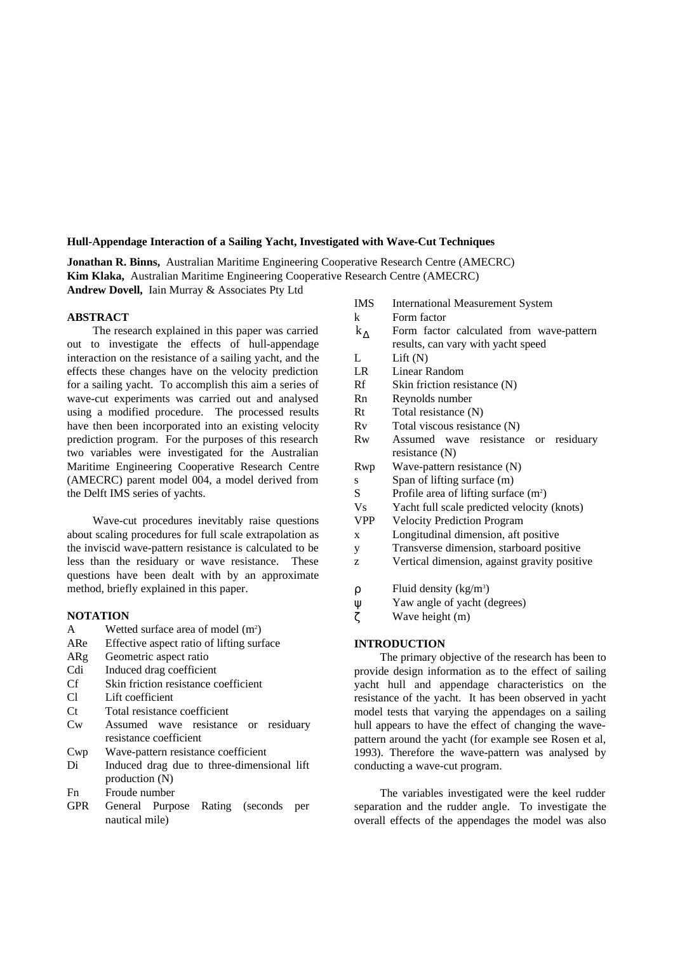## **Hull-Appendage Interaction of a Sailing Yacht, Investigated with Wave-Cut Techniques**

**Jonathan R. Binns,** Australian Maritime Engineering Cooperative Research Centre (AMECRC) **Kim Klaka,** Australian Maritime Engineering Cooperative Research Centre (AMECRC) **Andrew Dovell,** Iain Murray & Associates Pty Ltd

### **ABSTRACT**

The research explained in this paper was carried out to investigate the effects of hull-appendage interaction on the resistance of a sailing yacht, and the effects these changes have on the velocity prediction for a sailing yacht. To accomplish this aim a series of wave-cut experiments was carried out and analysed using a modified procedure. The processed results have then been incorporated into an existing velocity prediction program. For the purposes of this research two variables were investigated for the Australian Maritime Engineering Cooperative Research Centre (AMECRC) parent model 004, a model derived from the Delft IMS series of yachts.

Wave-cut procedures inevitably raise questions about scaling procedures for full scale extrapolation as the inviscid wave-pattern resistance is calculated to be less than the residuary or wave resistance. These questions have been dealt with by an approximate method, briefly explained in this paper.

#### **NOTATION**

- A Wetted surface area of model  $(m^2)$
- ARe Effective aspect ratio of lifting surface
- ARg Geometric aspect ratio
- Cdi Induced drag coefficient
- Cf Skin friction resistance coefficient
- Cl Lift coefficient
- Ct Total resistance coefficient
- Cw Assumed wave resistance or residuary resistance coefficient
- Cwp Wave-pattern resistance coefficient
- Di Induced drag due to three-dimensional lift production (N)
- Fn Froude number
- GPR General Purpose Rating (seconds per nautical mile)

| <b>IMS</b> | <b>International Measurement System</b>      |
|------------|----------------------------------------------|
| k          | Form factor                                  |
| $k_A$      | Form factor calculated from wave-pattern     |
|            | results, can vary with yacht speed           |
| L          | Lift $(N)$                                   |
| LR –       | Linear Random                                |
| Rf         | Skin friction resistance (N)                 |
| Rn         | Reynolds number                              |
| Rt         | Total resistance (N)                         |
| Rv         | Total viscous resistance (N)                 |
| Rw         | Assumed wave resistance or residuary         |
|            | resistance $(N)$                             |
| Rwp        | Wave-pattern resistance (N)                  |
| S          | Span of lifting surface (m)                  |
| S          | Profile area of lifting surface $(m^2)$      |
| <b>Vs</b>  | Yacht full scale predicted velocity (knots)  |
| <b>VPP</b> | <b>Velocity Prediction Program</b>           |
| X          | Longitudinal dimension, aft positive         |
| y          | Transverse dimension, starboard positive     |
| z          | Vertical dimension, against gravity positive |
|            |                                              |
| ρ          | Fluid density $(kg/m3)$                      |
| ψ          | Yaw angle of yacht (degrees)                 |
| ζ          | Wave height (m)                              |
|            |                                              |

## **INTRODUCTION**

The primary objective of the research has been to provide design information as to the effect of sailing yacht hull and appendage characteristics on the resistance of the yacht. It has been observed in yacht model tests that varying the appendages on a sailing hull appears to have the effect of changing the wavepattern around the yacht (for example see Rosen et al, 1993). Therefore the wave-pattern was analysed by conducting a wave-cut program.

The variables investigated were the keel rudder separation and the rudder angle. To investigate the overall effects of the appendages the model was also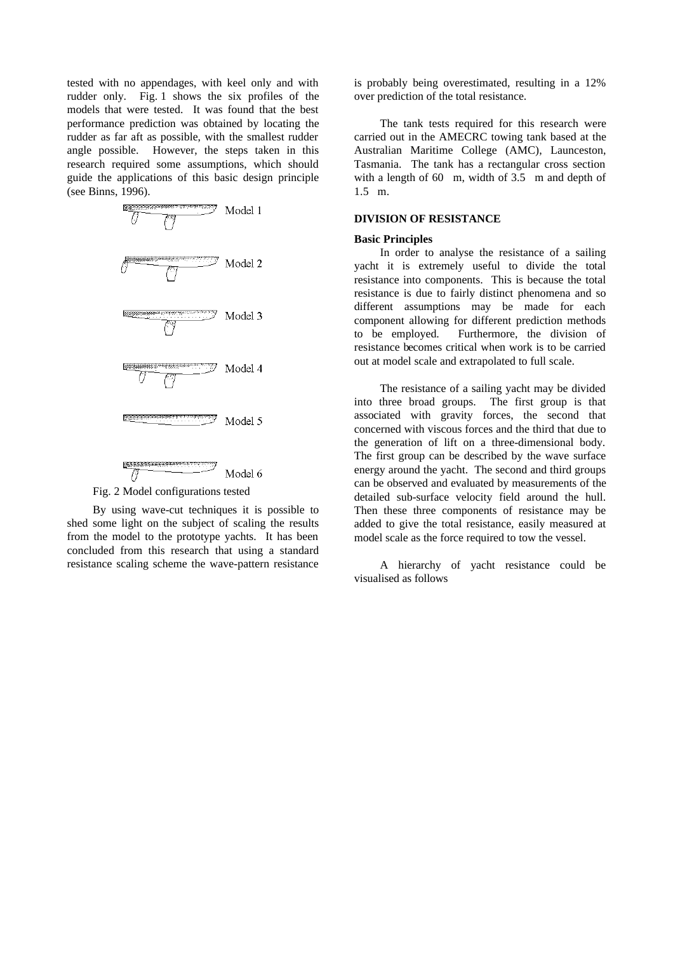tested with no appendages, with keel only and with rudder only. Fig. 1 shows the six profiles of the models that were tested. It was found that the best performance prediction was obtained by locating the rudder as far aft as possible, with the smallest rudder angle possible. However, the steps taken in this research required some assumptions, which should guide the applications of this basic design principle (see Binns, 1996).



Fig. 2 Model configurations tested

By using wave-cut techniques it is possible to shed some light on the subject of scaling the results from the model to the prototype yachts. It has been concluded from this research that using a standard resistance scaling scheme the wave-pattern resistance

is probably being overestimated, resulting in a 12% over prediction of the total resistance.

The tank tests required for this research were carried out in the AMECRC towing tank based at the Australian Maritime College (AMC), Launceston, Tasmania. The tank has a rectangular cross section with a length of 60 m, width of 3.5 m and depth of 1.5 m.

## **DIVISION OF RESISTANCE**

#### **Basic Principles**

In order to analyse the resistance of a sailing yacht it is extremely useful to divide the total resistance into components. This is because the total resistance is due to fairly distinct phenomena and so different assumptions may be made for each component allowing for different prediction methods to be employed. Furthermore, the division of resistance becomes critical when work is to be carried out at model scale and extrapolated to full scale.

The resistance of a sailing yacht may be divided into three broad groups. The first group is that associated with gravity forces, the second that concerned with viscous forces and the third that due to the generation of lift on a three-dimensional body. The first group can be described by the wave surface energy around the yacht. The second and third groups can be observed and evaluated by measurements of the detailed sub-surface velocity field around the hull. Then these three components of resistance may be added to give the total resistance, easily measured at model scale as the force required to tow the vessel.

A hierarchy of yacht resistance could be visualised as follows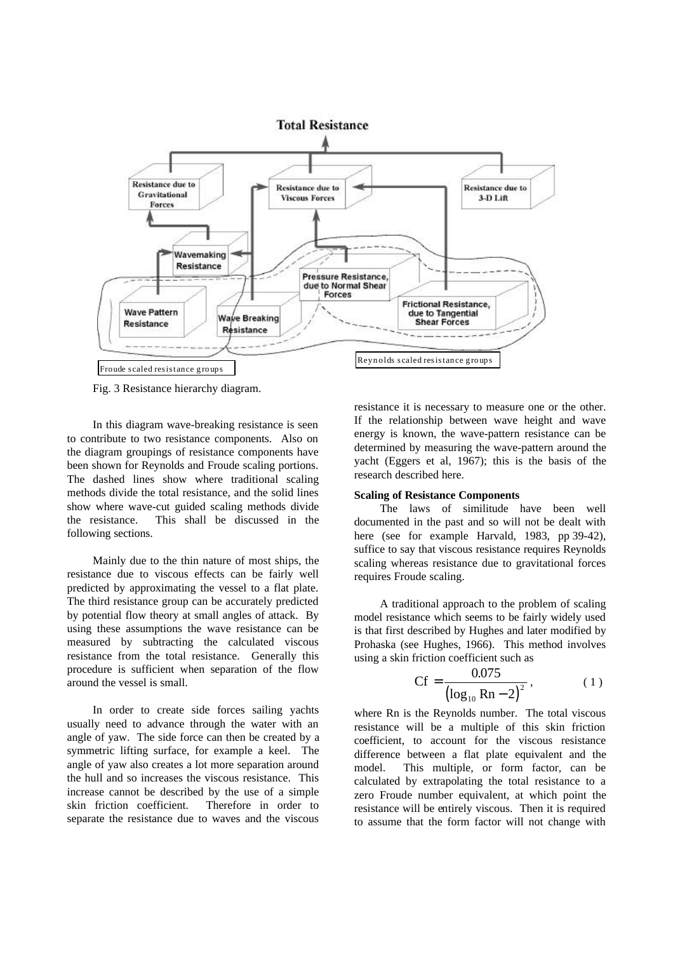

Fig. 3 Resistance hierarchy diagram.

In this diagram wave-breaking resistance is seen to contribute to two resistance components. Also on the diagram groupings of resistance components have been shown for Reynolds and Froude scaling portions. The dashed lines show where traditional scaling methods divide the total resistance, and the solid lines show where wave-cut guided scaling methods divide the resistance. This shall be discussed in the following sections.

Mainly due to the thin nature of most ships, the resistance due to viscous effects can be fairly well predicted by approximating the vessel to a flat plate. The third resistance group can be accurately predicted by potential flow theory at small angles of attack. By using these assumptions the wave resistance can be measured by subtracting the calculated viscous resistance from the total resistance. Generally this procedure is sufficient when separation of the flow around the vessel is small.

In order to create side forces sailing yachts usually need to advance through the water with an angle of yaw. The side force can then be created by a symmetric lifting surface, for example a keel. The angle of yaw also creates a lot more separation around the hull and so increases the viscous resistance. This increase cannot be described by the use of a simple skin friction coefficient. Therefore in order to separate the resistance due to waves and the viscous

resistance it is necessary to measure one or the other. If the relationship between wave height and wave energy is known, the wave-pattern resistance can be determined by measuring the wave-pattern around the yacht (Eggers et al, 1967); this is the basis of the research described here.

#### **Scaling of Resistance Components**

The laws of similitude have been well documented in the past and so will not be dealt with here (see for example Harvald, 1983, pp 39-42), suffice to say that viscous resistance requires Reynolds scaling whereas resistance due to gravitational forces requires Froude scaling.

A traditional approach to the problem of scaling model resistance which seems to be fairly widely used is that first described by Hughes and later modified by Prohaska (see Hughes, 1966). This method involves using a skin friction coefficient such as

$$
Cf = \frac{0.075}{\left(\log_{10} \text{Rn} - 2\right)^2},\tag{1}
$$

where Rn is the Reynolds number. The total viscous resistance will be a multiple of this skin friction coefficient, to account for the viscous resistance difference between a flat plate equivalent and the model. This multiple, or form factor, can be calculated by extrapolating the total resistance to a zero Froude number equivalent, at which point the resistance will be entirely viscous. Then it is required to assume that the form factor will not change with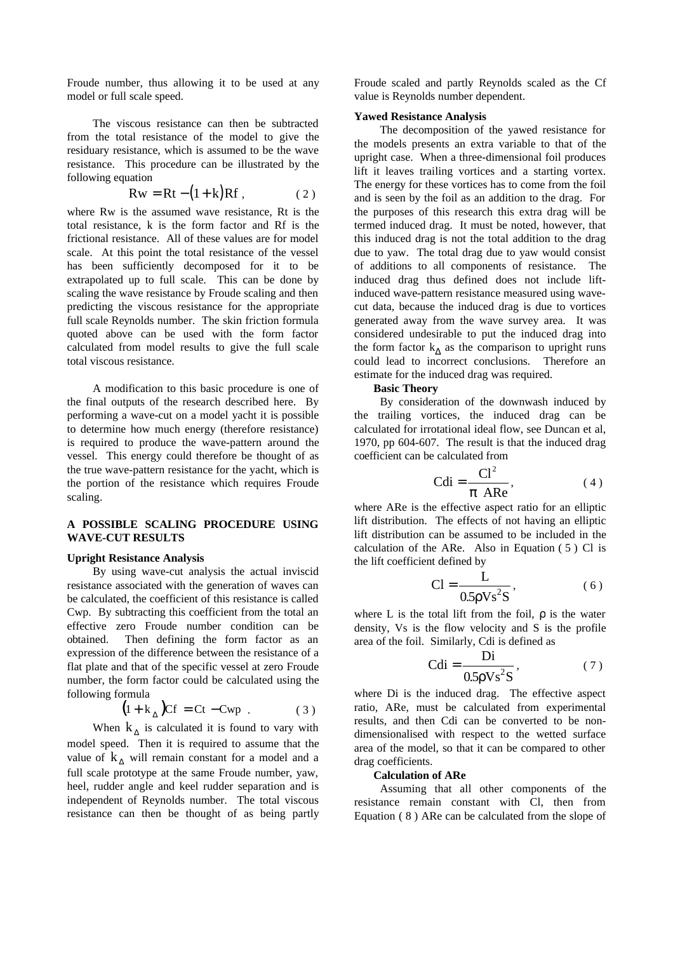Froude number, thus allowing it to be used at any model or full scale speed.

The viscous resistance can then be subtracted from the total resistance of the model to give the residuary resistance, which is assumed to be the wave resistance. This procedure can be illustrated by the following equation

$$
Rw = Rt - (1 + k)Rf , \qquad (2)
$$

where Rw is the assumed wave resistance, Rt is the total resistance, k is the form factor and Rf is the frictional resistance. All of these values are for model scale. At this point the total resistance of the vessel has been sufficiently decomposed for it to be extrapolated up to full scale. This can be done by scaling the wave resistance by Froude scaling and then predicting the viscous resistance for the appropriate full scale Reynolds number. The skin friction formula quoted above can be used with the form factor calculated from model results to give the full scale total viscous resistance.

A modification to this basic procedure is one of the final outputs of the research described here. By performing a wave-cut on a model yacht it is possible to determine how much energy (therefore resistance) is required to produce the wave-pattern around the vessel. This energy could therefore be thought of as the true wave-pattern resistance for the yacht, which is the portion of the resistance which requires Froude scaling.

## **A POSSIBLE SCALING PROCEDURE USING WAVE-CUT RESULTS**

#### **Upright Resistance Analysis**

By using wave-cut analysis the actual inviscid resistance associated with the generation of waves can be calculated, the coefficient of this resistance is called Cwp. By subtracting this coefficient from the total an effective zero Froude number condition can be obtained. Then defining the form factor as an expression of the difference between the resistance of a flat plate and that of the specific vessel at zero Froude number, the form factor could be calculated using the following formula

$$
(1 + k_{\Delta}) C f = Ct - Cwp . \qquad (3)
$$

When  $k_{\Delta}$  is calculated it is found to vary with model speed. Then it is required to assume that the value of  $k_A$  will remain constant for a model and a full scale prototype at the same Froude number, yaw, heel, rudder angle and keel rudder separation and is independent of Reynolds number. The total viscous resistance can then be thought of as being partly

Froude scaled and partly Reynolds scaled as the Cf value is Reynolds number dependent.

#### **Yawed Resistance Analysis**

The decomposition of the yawed resistance for the models presents an extra variable to that of the upright case. When a three-dimensional foil produces lift it leaves trailing vortices and a starting vortex. The energy for these vortices has to come from the foil and is seen by the foil as an addition to the drag. For the purposes of this research this extra drag will be termed induced drag. It must be noted, however, that this induced drag is not the total addition to the drag due to yaw. The total drag due to yaw would consist of additions to all components of resistance. The induced drag thus defined does not include liftinduced wave-pattern resistance measured using wavecut data, because the induced drag is due to vortices generated away from the wave survey area. It was considered undesirable to put the induced drag into the form factor  $k_{\Delta}$  as the comparison to upright runs could lead to incorrect conclusions. Therefore an estimate for the induced drag was required.

#### **Basic Theory**

By consideration of the downwash induced by the trailing vortices, the induced drag can be calculated for irrotational ideal flow, see Duncan et al, 1970, pp 604-607. The result is that the induced drag coefficient can be calculated from

$$
Cdi = \frac{Cl^2}{\pi \text{ ARe}},\tag{4}
$$

where ARe is the effective aspect ratio for an elliptic lift distribution. The effects of not having an elliptic lift distribution can be assumed to be included in the calculation of the ARe. Also in Equation  $(5)$  Cl is the lift coefficient defined by

$$
Cl = \frac{L}{0.5 \rho V s^2 S},
$$
 (6)

where L is the total lift from the foil, ρ is the water density, Vs is the flow velocity and S is the profile area of the foil. Similarly, Cdi is defined as

$$
Cdi = \frac{Di}{0.5\rho Vs^2S},
$$
 (7)

where Di is the induced drag. The effective aspect ratio, ARe, must be calculated from experimental results, and then Cdi can be converted to be nondimensionalised with respect to the wetted surface area of the model, so that it can be compared to other drag coefficients.

## **Calculation of ARe**

Assuming that all other components of the resistance remain constant with Cl, then from Equation ( 8 ) ARe can be calculated from the slope of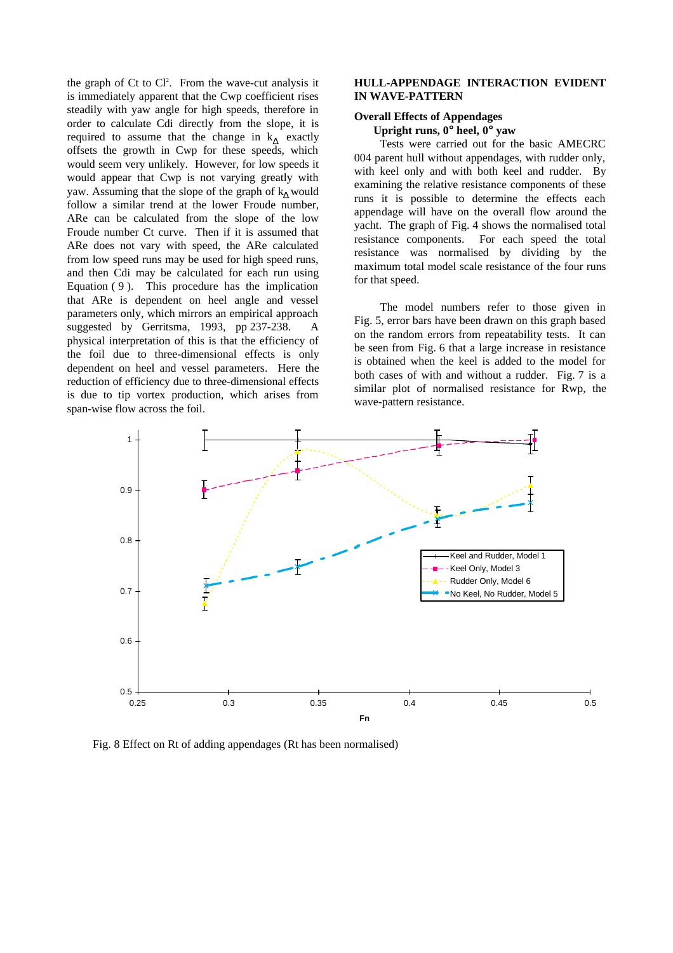the graph of Ct to  $Cl<sup>2</sup>$ . From the wave-cut analysis it is immediately apparent that the Cwp coefficient rises steadily with yaw angle for high speeds, therefore in order to calculate Cdi directly from the slope, it is required to assume that the change in  $k_{\Delta}$  exactly offsets the growth in Cwp for these speeds, which would seem very unlikely. However, for low speeds it would appear that Cwp is not varying greatly with yaw. Assuming that the slope of the graph of  $k_A$  would follow a similar trend at the lower Froude number, ARe can be calculated from the slope of the low Froude number Ct curve. Then if it is assumed that ARe does not vary with speed, the ARe calculated from low speed runs may be used for high speed runs, and then Cdi may be calculated for each run using Equation ( 9 ). This procedure has the implication that ARe is dependent on heel angle and vessel parameters only, which mirrors an empirical approach suggested by Gerritsma, 1993, pp 237-238. A physical interpretation of this is that the efficiency of the foil due to three-dimensional effects is only dependent on heel and vessel parameters. Here the reduction of efficiency due to three-dimensional effects is due to tip vortex production, which arises from span-wise flow across the foil.

## **HULL-APPENDAGE INTERACTION EVIDENT IN WAVE-PATTERN**

## **Overall Effects of Appendages**

**Upright runs, 0° heel, 0° yaw**

Tests were carried out for the basic AMECRC 004 parent hull without appendages, with rudder only, with keel only and with both keel and rudder. By examining the relative resistance components of these runs it is possible to determine the effects each appendage will have on the overall flow around the yacht. The graph of Fig. 4 shows the normalised total resistance components. For each speed the total resistance was normalised by dividing by the maximum total model scale resistance of the four runs for that speed.

The model numbers refer to those given in Fig. 5, error bars have been drawn on this graph based on the random errors from repeatability tests. It can be seen from Fig. 6 that a large increase in resistance is obtained when the keel is added to the model for both cases of with and without a rudder. Fig. 7 is a similar plot of normalised resistance for Rwp, the wave-pattern resistance.



Fig. 8 Effect on Rt of adding appendages (Rt has been normalised)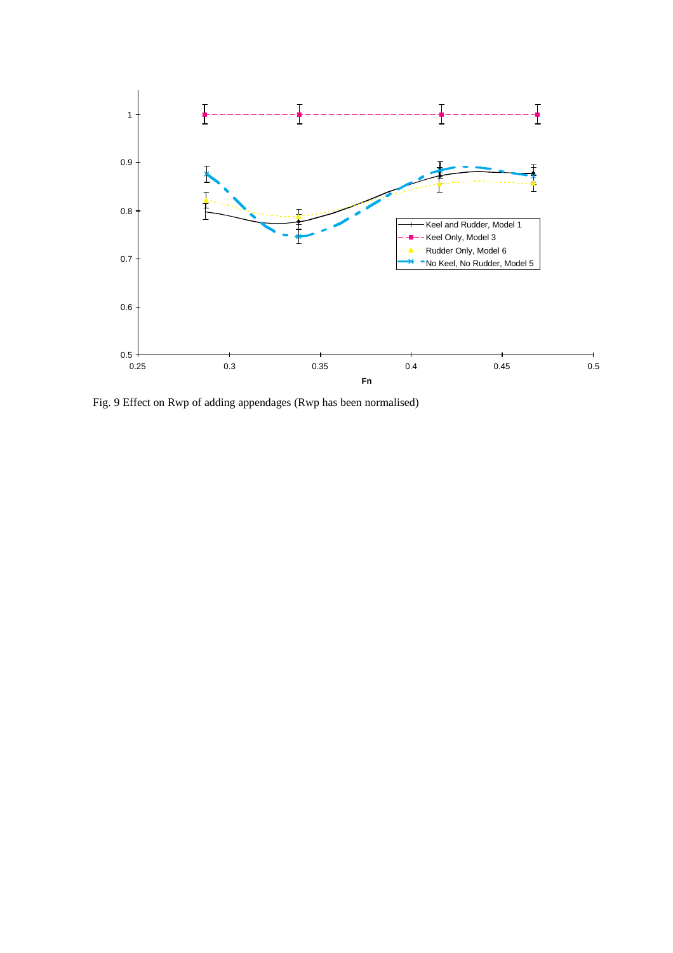

Fig. 9 Effect on Rwp of adding appendages (Rwp has been normalised)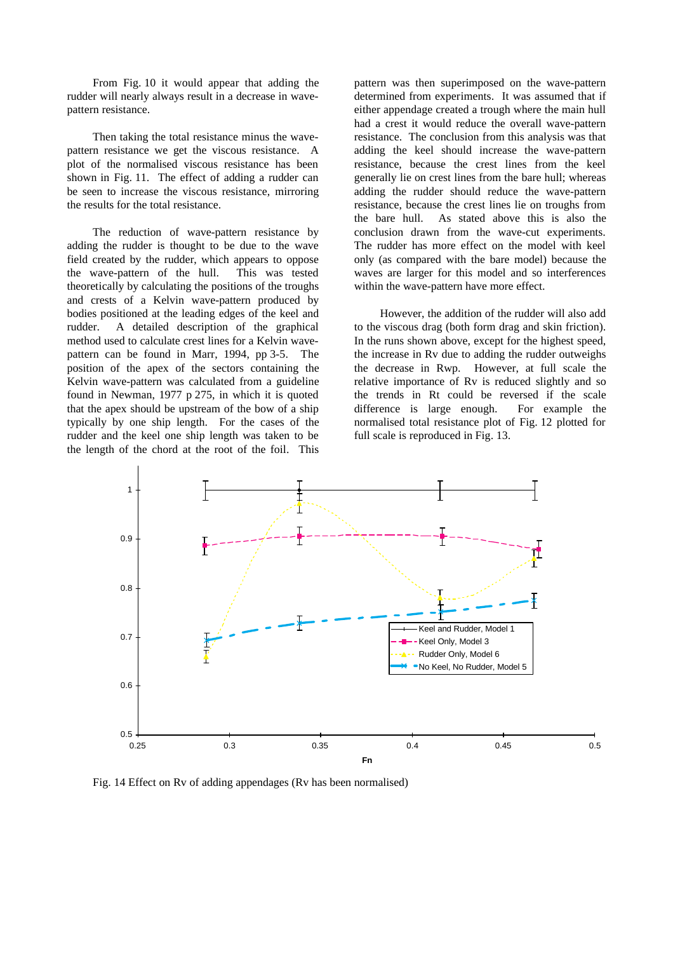From Fig. 10 it would appear that adding the rudder will nearly always result in a decrease in wavepattern resistance.

Then taking the total resistance minus the wavepattern resistance we get the viscous resistance. A plot of the normalised viscous resistance has been shown in Fig. 11. The effect of adding a rudder can be seen to increase the viscous resistance, mirroring the results for the total resistance.

The reduction of wave-pattern resistance by adding the rudder is thought to be due to the wave field created by the rudder, which appears to oppose the wave-pattern of the hull. This was tested theoretically by calculating the positions of the troughs and crests of a Kelvin wave-pattern produced by bodies positioned at the leading edges of the keel and rudder. A detailed description of the graphical method used to calculate crest lines for a Kelvin wavepattern can be found in Marr, 1994, pp 3-5. The position of the apex of the sectors containing the Kelvin wave-pattern was calculated from a guideline found in Newman, 1977 p 275, in which it is quoted that the apex should be upstream of the bow of a ship typically by one ship length. For the cases of the rudder and the keel one ship length was taken to be the length of the chord at the root of the foil. This

pattern was then superimposed on the wave-pattern determined from experiments. It was assumed that if either appendage created a trough where the main hull had a crest it would reduce the overall wave-pattern resistance. The conclusion from this analysis was that adding the keel should increase the wave-pattern resistance, because the crest lines from the keel generally lie on crest lines from the bare hull; whereas adding the rudder should reduce the wave-pattern resistance, because the crest lines lie on troughs from the bare hull. As stated above this is also the conclusion drawn from the wave-cut experiments. The rudder has more effect on the model with keel only (as compared with the bare model) because the waves are larger for this model and so interferences within the wave-pattern have more effect.

However, the addition of the rudder will also add to the viscous drag (both form drag and skin friction). In the runs shown above, except for the highest speed, the increase in Rv due to adding the rudder outweighs the decrease in Rwp. However, at full scale the relative importance of Rv is reduced slightly and so the trends in Rt could be reversed if the scale difference is large enough. For example the normalised total resistance plot of Fig. 12 plotted for full scale is reproduced in Fig. 13.



Fig. 14 Effect on Rv of adding appendages (Rv has been normalised)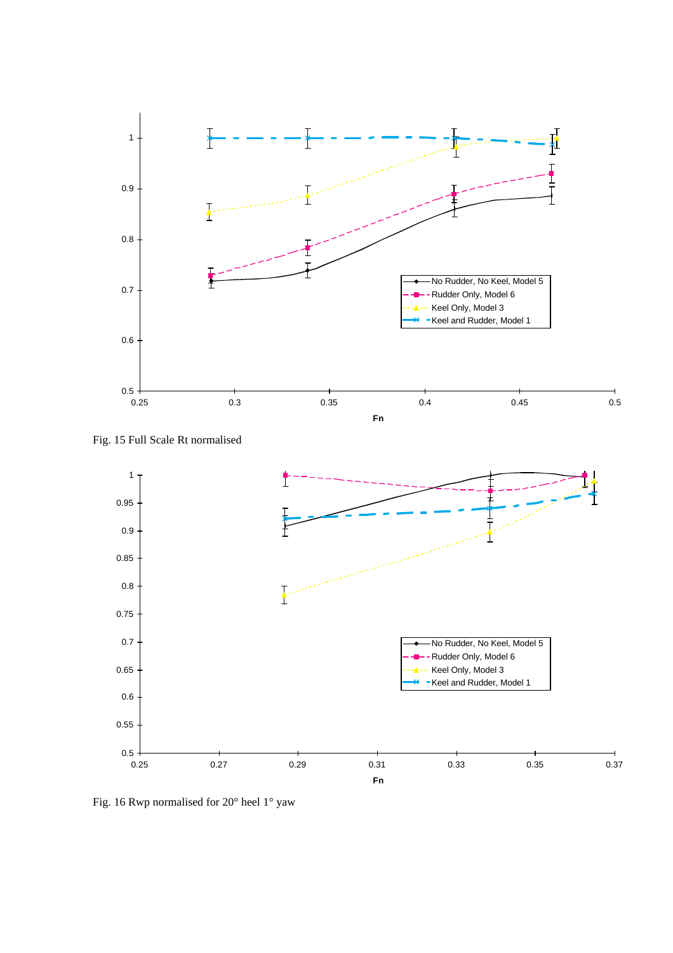





Fig. 16 Rwp normalised for 20° heel 1° yaw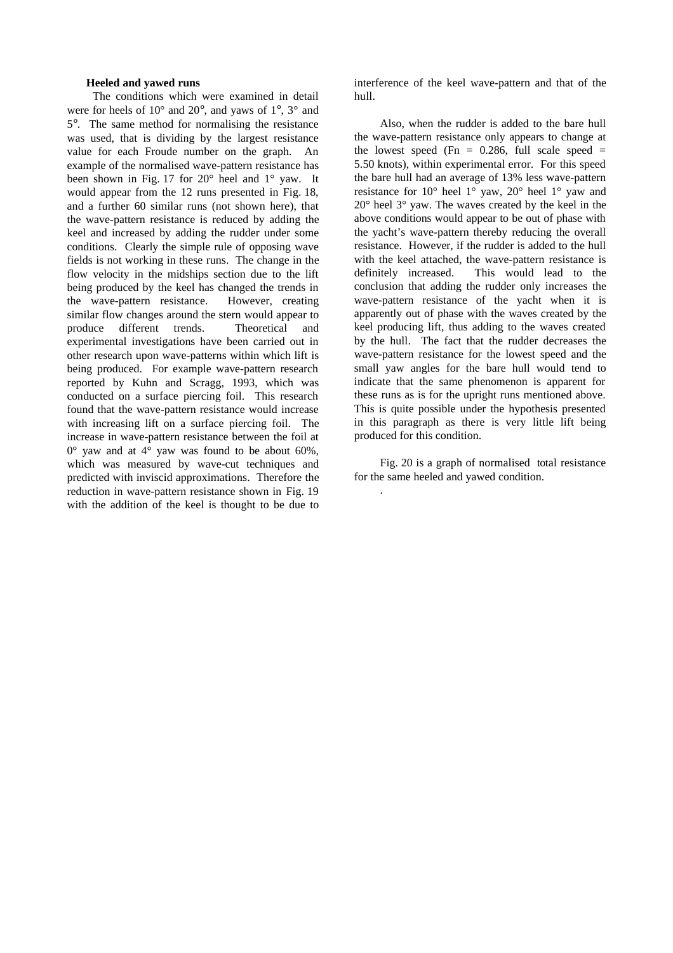## **Heeled and yawed runs**

The conditions which were examined in detail were for heels of 10° and 20°, and yaws of 1°, 3° and 5°. The same method for normalising the resistance was used, that is dividing by the largest resistance value for each Froude number on the graph. An example of the normalised wave-pattern resistance has been shown in Fig. 17 for 20° heel and 1° yaw. It would appear from the 12 runs presented in Fig. 18, and a further 60 similar runs (not shown here), that the wave-pattern resistance is reduced by adding the keel and increased by adding the rudder under some conditions. Clearly the simple rule of opposing wave fields is not working in these runs. The change in the flow velocity in the midships section due to the lift being produced by the keel has changed the trends in the wave-pattern resistance. However, creating similar flow changes around the stern would appear to produce different trends. Theoretical and experimental investigations have been carried out in other research upon wave-patterns within which lift is being produced. For example wave-pattern research reported by Kuhn and Scragg, 1993, which was conducted on a surface piercing foil. This research found that the wave-pattern resistance would increase with increasing lift on a surface piercing foil. The increase in wave-pattern resistance between the foil at  $0^{\circ}$  yaw and at  $4^{\circ}$  yaw was found to be about 60%, which was measured by wave-cut techniques and predicted with inviscid approximations. Therefore the reduction in wave-pattern resistance shown in Fig. 19 with the addition of the keel is thought to be due to

interference of the keel wave-pattern and that of the hull.

Also, when the rudder is added to the bare hull the wave-pattern resistance only appears to change at the lowest speed (Fn =  $0.286$ , full scale speed = 5.50 knots), within experimental error. For this speed the bare hull had an average of 13% less wave-pattern resistance for 10° heel 1° yaw, 20° heel 1° yaw and 20° heel 3° yaw. The waves created by the keel in the above conditions would appear to be out of phase with the yacht's wave-pattern thereby reducing the overall resistance. However, if the rudder is added to the hull with the keel attached, the wave-pattern resistance is definitely increased. This would lead to the conclusion that adding the rudder only increases the wave-pattern resistance of the yacht when it is apparently out of phase with the waves created by the keel producing lift, thus adding to the waves created by the hull. The fact that the rudder decreases the wave-pattern resistance for the lowest speed and the small yaw angles for the bare hull would tend to indicate that the same phenomenon is apparent for these runs as is for the upright runs mentioned above. This is quite possible under the hypothesis presented in this paragraph as there is very little lift being produced for this condition.

Fig. 20 is a graph of normalised total resistance for the same heeled and yawed condition.

.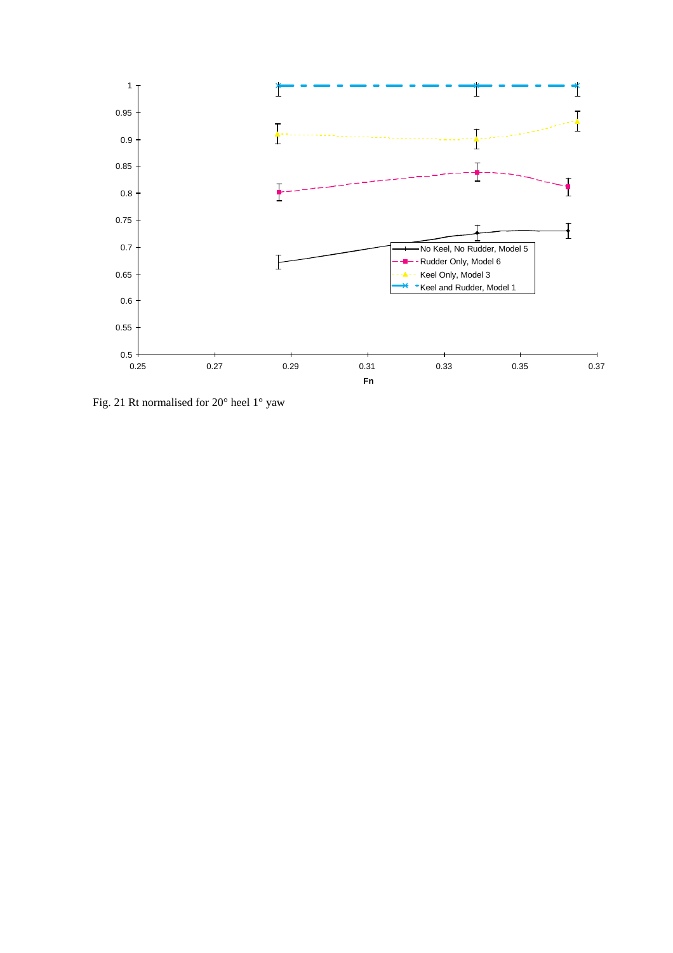

Fig. 21 Rt normalised for 20° heel 1° yaw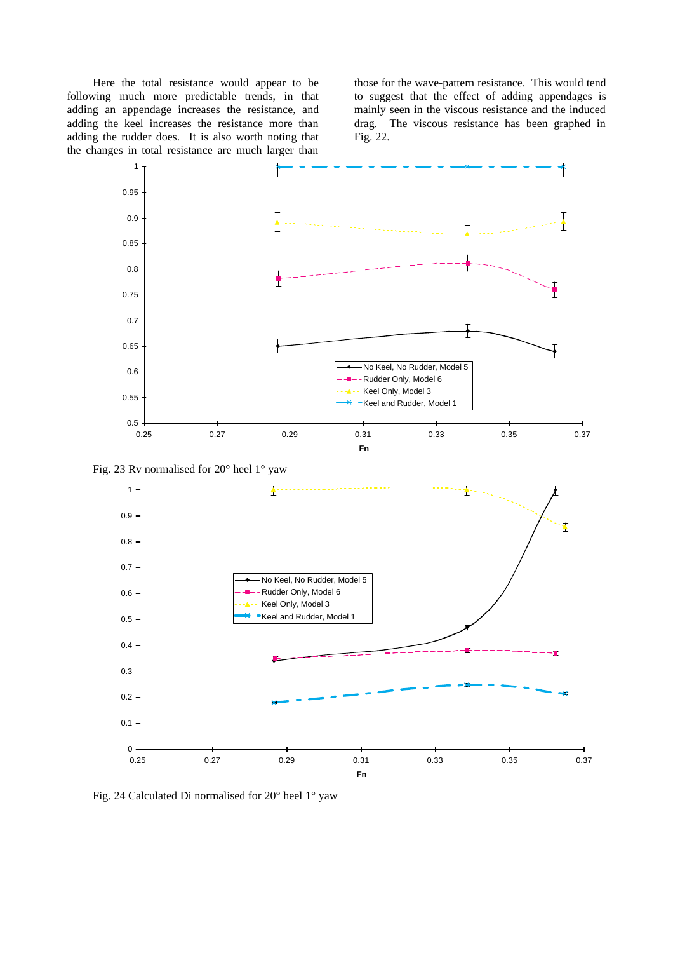Here the total resistance would appear to be following much more predictable trends, in that adding an appendage increases the resistance, and adding the keel increases the resistance more than adding the rudder does. It is also worth noting that the changes in total resistance are much larger than

those for the wave-pattern resistance. This would tend to suggest that the effect of adding appendages is mainly seen in the viscous resistance and the induced drag. The viscous resistance has been graphed in Fig. 22.



Fig. 23 Rv normalised for 20° heel 1° yaw



Fig. 24 Calculated Di normalised for 20° heel 1° yaw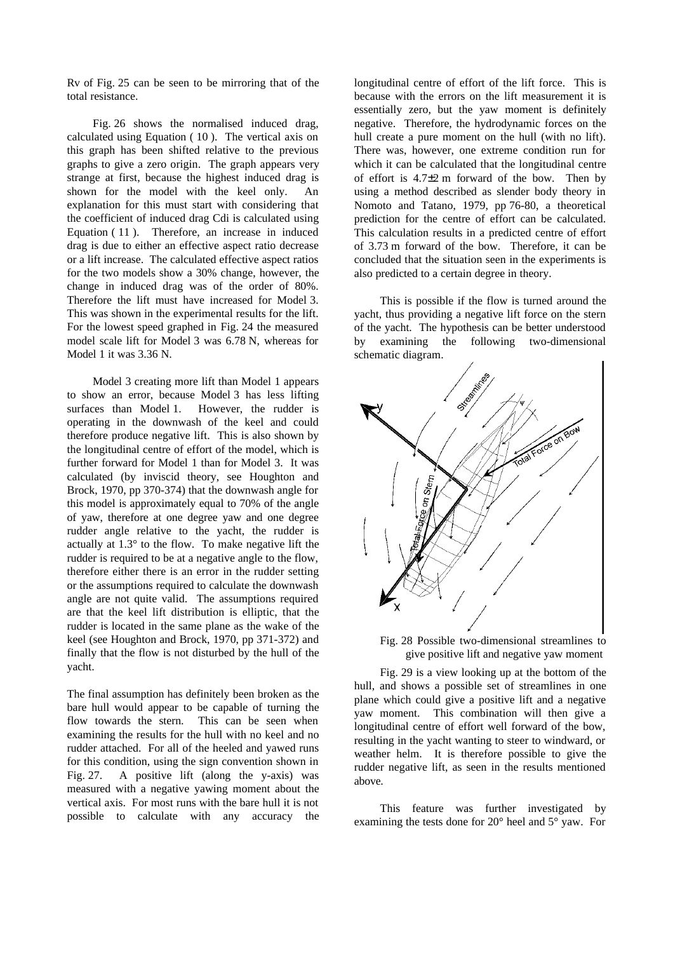Rv of Fig. 25 can be seen to be mirroring that of the total resistance.

Fig. 26 shows the normalised induced drag, calculated using Equation ( 10 ). The vertical axis on this graph has been shifted relative to the previous graphs to give a zero origin. The graph appears very strange at first, because the highest induced drag is shown for the model with the keel only. An explanation for this must start with considering that the coefficient of induced drag Cdi is calculated using Equation ( 11 ). Therefore, an increase in induced drag is due to either an effective aspect ratio decrease or a lift increase. The calculated effective aspect ratios for the two models show a 30% change, however, the change in induced drag was of the order of 80%. Therefore the lift must have increased for Model 3. This was shown in the experimental results for the lift. For the lowest speed graphed in Fig. 24 the measured model scale lift for Model 3 was 6.78 N, whereas for Model 1 it was 3.36 N.

Model 3 creating more lift than Model 1 appears to show an error, because Model 3 has less lifting surfaces than Model 1. However, the rudder is operating in the downwash of the keel and could therefore produce negative lift. This is also shown by the longitudinal centre of effort of the model, which is further forward for Model 1 than for Model 3. It was calculated (by inviscid theory, see Houghton and Brock, 1970, pp 370-374) that the downwash angle for this model is approximately equal to 70% of the angle of yaw, therefore at one degree yaw and one degree rudder angle relative to the yacht, the rudder is actually at 1.3° to the flow. To make negative lift the rudder is required to be at a negative angle to the flow, therefore either there is an error in the rudder setting or the assumptions required to calculate the downwash angle are not quite valid. The assumptions required are that the keel lift distribution is elliptic, that the rudder is located in the same plane as the wake of the keel (see Houghton and Brock, 1970, pp 371-372) and finally that the flow is not disturbed by the hull of the yacht.

The final assumption has definitely been broken as the bare hull would appear to be capable of turning the flow towards the stern. This can be seen when examining the results for the hull with no keel and no rudder attached. For all of the heeled and yawed runs for this condition, using the sign convention shown in Fig. 27. A positive lift (along the y-axis) was measured with a negative yawing moment about the vertical axis. For most runs with the bare hull it is not possible to calculate with any accuracy the longitudinal centre of effort of the lift force. This is because with the errors on the lift measurement it is essentially zero, but the yaw moment is definitely negative. Therefore, the hydrodynamic forces on the hull create a pure moment on the hull (with no lift). There was, however, one extreme condition run for which it can be calculated that the longitudinal centre of effort is 4.7±2 m forward of the bow. Then by using a method described as slender body theory in Nomoto and Tatano, 1979, pp 76-80, a theoretical prediction for the centre of effort can be calculated. This calculation results in a predicted centre of effort of 3.73 m forward of the bow. Therefore, it can be concluded that the situation seen in the experiments is also predicted to a certain degree in theory.

This is possible if the flow is turned around the yacht, thus providing a negative lift force on the stern of the yacht. The hypothesis can be better understood by examining the following two-dimensional schematic diagram.



Fig. 28 Possible two-dimensional streamlines to give positive lift and negative yaw moment

Fig. 29 is a view looking up at the bottom of the hull, and shows a possible set of streamlines in one plane which could give a positive lift and a negative yaw moment. This combination will then give a longitudinal centre of effort well forward of the bow, resulting in the yacht wanting to steer to windward, or weather helm. It is therefore possible to give the rudder negative lift, as seen in the results mentioned above.

This feature was further investigated by examining the tests done for 20° heel and 5° yaw. For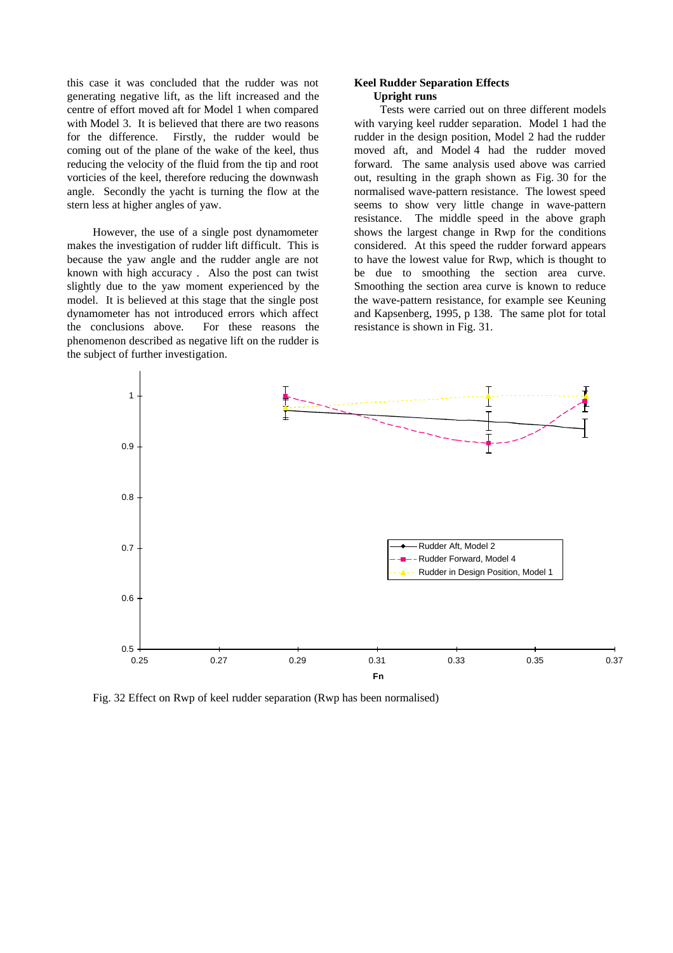this case it was concluded that the rudder was not generating negative lift, as the lift increased and the centre of effort moved aft for Model 1 when compared with Model 3. It is believed that there are two reasons for the difference. Firstly, the rudder would be coming out of the plane of the wake of the keel, thus reducing the velocity of the fluid from the tip and root vorticies of the keel, therefore reducing the downwash angle. Secondly the yacht is turning the flow at the stern less at higher angles of yaw.

However, the use of a single post dynamometer makes the investigation of rudder lift difficult. This is because the yaw angle and the rudder angle are not known with high accuracy . Also the post can twist slightly due to the yaw moment experienced by the model. It is believed at this stage that the single post dynamometer has not introduced errors which affect the conclusions above. For these reasons the phenomenon described as negative lift on the rudder is the subject of further investigation.

## **Keel Rudder Separation Effects Upright runs**

Tests were carried out on three different models with varying keel rudder separation. Model 1 had the rudder in the design position, Model 2 had the rudder moved aft, and Model 4 had the rudder moved forward. The same analysis used above was carried out, resulting in the graph shown as Fig. 30 for the normalised wave-pattern resistance. The lowest speed seems to show very little change in wave-pattern resistance. The middle speed in the above graph shows the largest change in Rwp for the conditions considered. At this speed the rudder forward appears to have the lowest value for Rwp, which is thought to be due to smoothing the section area curve. Smoothing the section area curve is known to reduce the wave-pattern resistance, for example see Keuning and Kapsenberg, 1995, p 138. The same plot for total resistance is shown in Fig. 31.



Fig. 32 Effect on Rwp of keel rudder separation (Rwp has been normalised)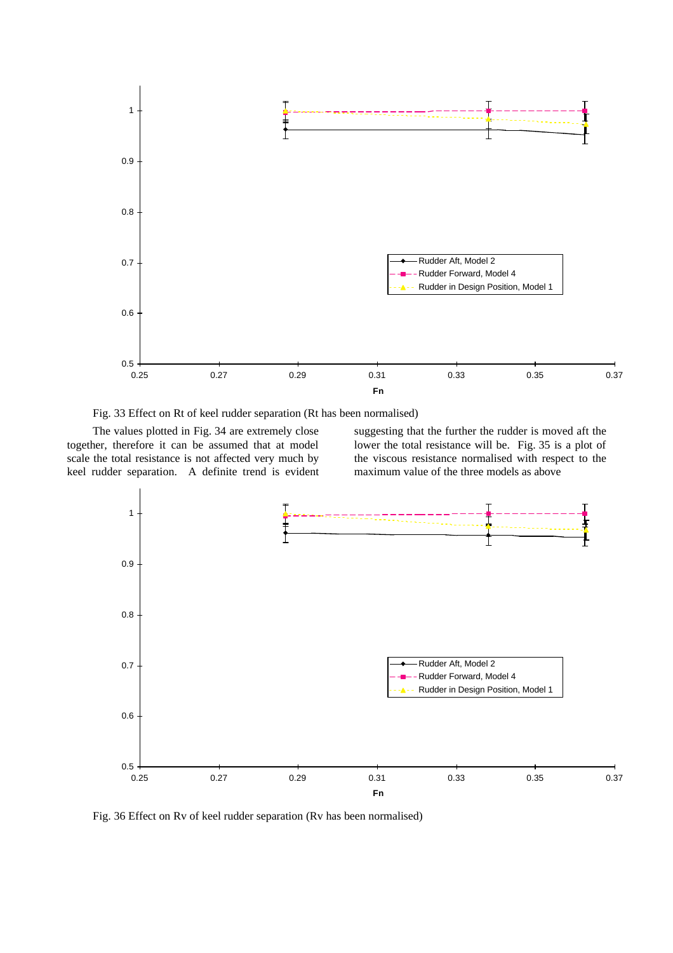

Fig. 33 Effect on Rt of keel rudder separation (Rt has been normalised)

The values plotted in Fig. 34 are extremely close together, therefore it can be assumed that at model scale the total resistance is not affected very much by keel rudder separation. A definite trend is evident suggesting that the further the rudder is moved aft the lower the total resistance will be. Fig. 35 is a plot of the viscous resistance normalised with respect to the maximum value of the three models as above



Fig. 36 Effect on Rv of keel rudder separation (Rv has been normalised)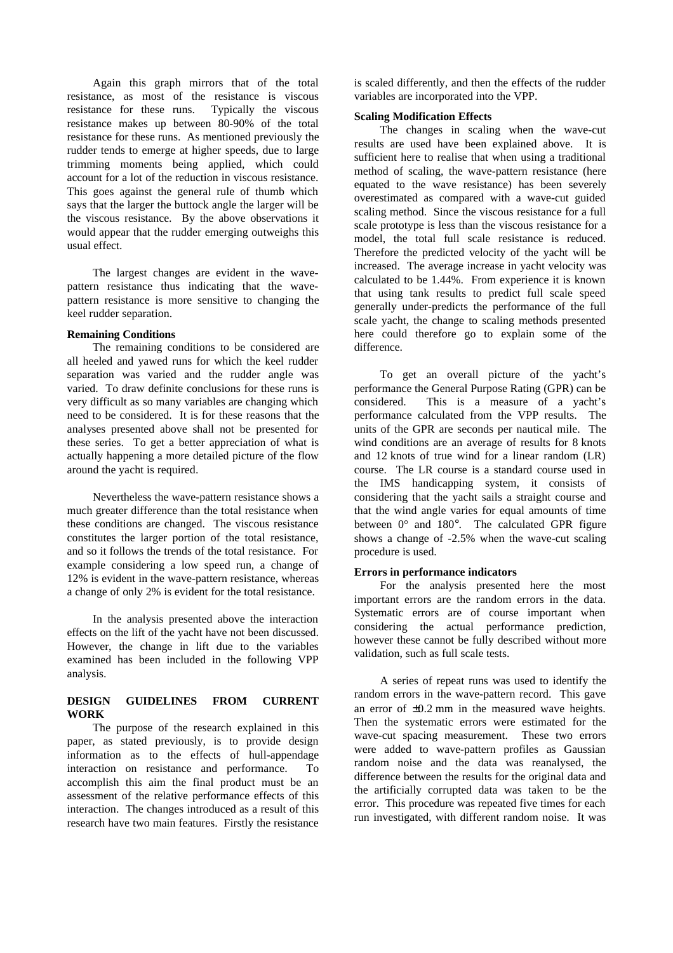Again this graph mirrors that of the total resistance, as most of the resistance is viscous resistance for these runs. Typically the viscous resistance makes up between 80-90% of the total resistance for these runs. As mentioned previously the rudder tends to emerge at higher speeds, due to large trimming moments being applied, which could account for a lot of the reduction in viscous resistance. This goes against the general rule of thumb which says that the larger the buttock angle the larger will be the viscous resistance. By the above observations it would appear that the rudder emerging outweighs this usual effect.

The largest changes are evident in the wavepattern resistance thus indicating that the wavepattern resistance is more sensitive to changing the keel rudder separation.

## **Remaining Conditions**

The remaining conditions to be considered are all heeled and yawed runs for which the keel rudder separation was varied and the rudder angle was varied. To draw definite conclusions for these runs is very difficult as so many variables are changing which need to be considered. It is for these reasons that the analyses presented above shall not be presented for these series. To get a better appreciation of what is actually happening a more detailed picture of the flow around the yacht is required.

Nevertheless the wave-pattern resistance shows a much greater difference than the total resistance when these conditions are changed. The viscous resistance constitutes the larger portion of the total resistance, and so it follows the trends of the total resistance. For example considering a low speed run, a change of 12% is evident in the wave-pattern resistance, whereas a change of only 2% is evident for the total resistance.

In the analysis presented above the interaction effects on the lift of the yacht have not been discussed. However, the change in lift due to the variables examined has been included in the following VPP analysis.

# **DESIGN GUIDELINES FROM CURRENT WORK**

The purpose of the research explained in this paper, as stated previously, is to provide design information as to the effects of hull-appendage interaction on resistance and performance. To accomplish this aim the final product must be an assessment of the relative performance effects of this interaction. The changes introduced as a result of this research have two main features. Firstly the resistance

is scaled differently, and then the effects of the rudder variables are incorporated into the VPP.

### **Scaling Modification Effects**

The changes in scaling when the wave-cut results are used have been explained above. It is sufficient here to realise that when using a traditional method of scaling, the wave-pattern resistance (here equated to the wave resistance) has been severely overestimated as compared with a wave-cut guided scaling method. Since the viscous resistance for a full scale prototype is less than the viscous resistance for a model, the total full scale resistance is reduced. Therefore the predicted velocity of the yacht will be increased. The average increase in yacht velocity was calculated to be 1.44%. From experience it is known that using tank results to predict full scale speed generally under-predicts the performance of the full scale yacht, the change to scaling methods presented here could therefore go to explain some of the difference.

To get an overall picture of the yacht's performance the General Purpose Rating (GPR) can be considered. This is a measure of a yacht's performance calculated from the VPP results. The units of the GPR are seconds per nautical mile. The wind conditions are an average of results for 8 knots and 12 knots of true wind for a linear random (LR) course. The LR course is a standard course used in the IMS handicapping system, it consists of considering that the yacht sails a straight course and that the wind angle varies for equal amounts of time between 0° and 180°. The calculated GPR figure shows a change of -2.5% when the wave-cut scaling procedure is used.

#### **Errors in performance indicators**

For the analysis presented here the most important errors are the random errors in the data. Systematic errors are of course important when considering the actual performance prediction, however these cannot be fully described without more validation, such as full scale tests.

A series of repeat runs was used to identify the random errors in the wave-pattern record. This gave an error of  $\pm 0.2$  mm in the measured wave heights. Then the systematic errors were estimated for the wave-cut spacing measurement. These two errors were added to wave-pattern profiles as Gaussian random noise and the data was reanalysed, the difference between the results for the original data and the artificially corrupted data was taken to be the error. This procedure was repeated five times for each run investigated, with different random noise. It was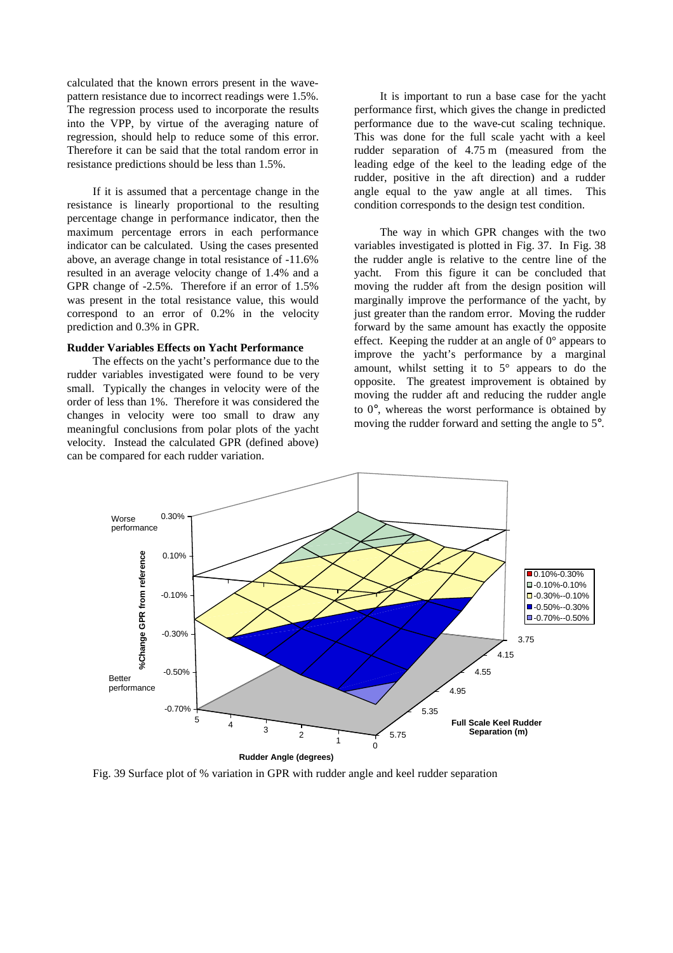calculated that the known errors present in the wavepattern resistance due to incorrect readings were 1.5%. The regression process used to incorporate the results into the VPP, by virtue of the averaging nature of regression, should help to reduce some of this error. Therefore it can be said that the total random error in resistance predictions should be less than 1.5%.

If it is assumed that a percentage change in the resistance is linearly proportional to the resulting percentage change in performance indicator, then the maximum percentage errors in each performance indicator can be calculated. Using the cases presented above, an average change in total resistance of -11.6% resulted in an average velocity change of 1.4% and a GPR change of -2.5%. Therefore if an error of 1.5% was present in the total resistance value, this would correspond to an error of 0.2% in the velocity prediction and 0.3% in GPR.

## **Rudder Variables Effects on Yacht Performance**

The effects on the yacht's performance due to the rudder variables investigated were found to be very small. Typically the changes in velocity were of the order of less than 1%. Therefore it was considered the changes in velocity were too small to draw any meaningful conclusions from polar plots of the yacht velocity. Instead the calculated GPR (defined above) can be compared for each rudder variation.

It is important to run a base case for the yacht performance first, which gives the change in predicted performance due to the wave-cut scaling technique. This was done for the full scale yacht with a keel rudder separation of 4.75 m (measured from the leading edge of the keel to the leading edge of the rudder, positive in the aft direction) and a rudder angle equal to the yaw angle at all times. This condition corresponds to the design test condition.

The way in which GPR changes with the two variables investigated is plotted in Fig. 37. In Fig. 38 the rudder angle is relative to the centre line of the yacht. From this figure it can be concluded that moving the rudder aft from the design position will marginally improve the performance of the yacht, by just greater than the random error. Moving the rudder forward by the same amount has exactly the opposite effect. Keeping the rudder at an angle of 0° appears to improve the yacht's performance by a marginal amount, whilst setting it to 5° appears to do the opposite. The greatest improvement is obtained by moving the rudder aft and reducing the rudder angle to 0°, whereas the worst performance is obtained by moving the rudder forward and setting the angle to 5°.



Fig. 39 Surface plot of % variation in GPR with rudder angle and keel rudder separation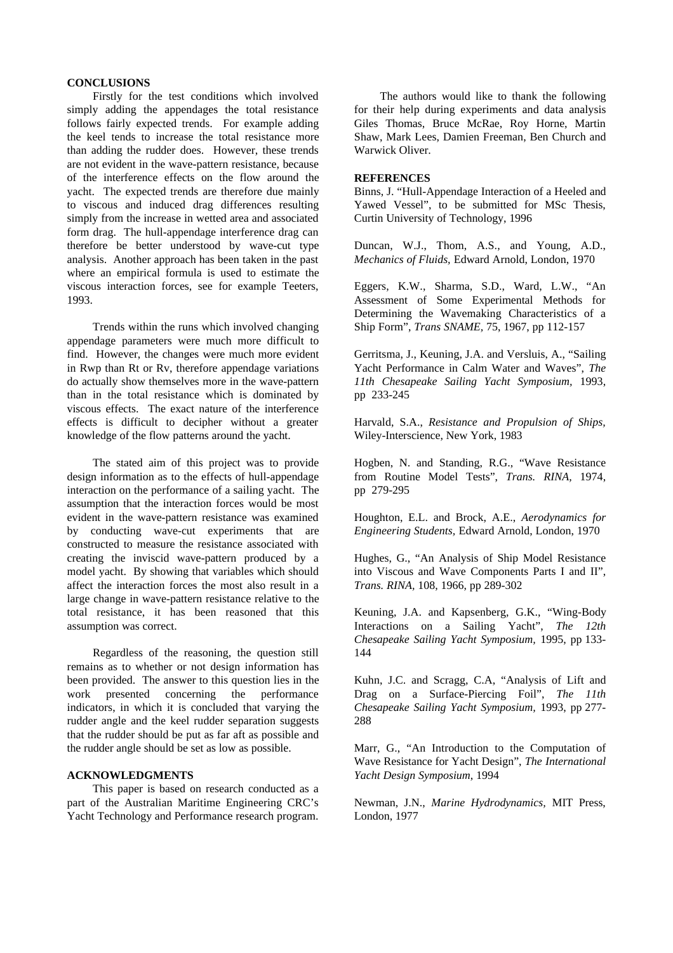## **CONCLUSIONS**

Firstly for the test conditions which involved simply adding the appendages the total resistance follows fairly expected trends. For example adding the keel tends to increase the total resistance more than adding the rudder does. However, these trends are not evident in the wave-pattern resistance, because of the interference effects on the flow around the yacht. The expected trends are therefore due mainly to viscous and induced drag differences resulting simply from the increase in wetted area and associated form drag. The hull-appendage interference drag can therefore be better understood by wave-cut type analysis. Another approach has been taken in the past where an empirical formula is used to estimate the viscous interaction forces, see for example Teeters, 1993.

Trends within the runs which involved changing appendage parameters were much more difficult to find. However, the changes were much more evident in Rwp than Rt or Rv, therefore appendage variations do actually show themselves more in the wave-pattern than in the total resistance which is dominated by viscous effects. The exact nature of the interference effects is difficult to decipher without a greater knowledge of the flow patterns around the yacht.

The stated aim of this project was to provide design information as to the effects of hull-appendage interaction on the performance of a sailing yacht. The assumption that the interaction forces would be most evident in the wave-pattern resistance was examined by conducting wave-cut experiments that are constructed to measure the resistance associated with creating the inviscid wave-pattern produced by a model yacht. By showing that variables which should affect the interaction forces the most also result in a large change in wave-pattern resistance relative to the total resistance, it has been reasoned that this assumption was correct.

Regardless of the reasoning, the question still remains as to whether or not design information has been provided. The answer to this question lies in the work presented concerning the performance indicators, in which it is concluded that varying the rudder angle and the keel rudder separation suggests that the rudder should be put as far aft as possible and the rudder angle should be set as low as possible.

## **ACKNOWLEDGMENTS**

This paper is based on research conducted as a part of the Australian Maritime Engineering CRC's Yacht Technology and Performance research program.

The authors would like to thank the following for their help during experiments and data analysis Giles Thomas, Bruce McRae, Roy Horne, Martin Shaw, Mark Lees, Damien Freeman, Ben Church and Warwick Oliver.

#### **REFERENCES**

Binns, J. "Hull-Appendage Interaction of a Heeled and Yawed Vessel", to be submitted for MSc Thesis, Curtin University of Technology, 1996

Duncan, W.J., Thom, A.S., and Young, A.D., *Mechanics of Fluids,* Edward Arnold, London, 1970

Eggers, K.W., Sharma, S.D., Ward, L.W., "An Assessment of Some Experimental Methods for Determining the Wavemaking Characteristics of a Ship Form", *Trans SNAME,* 75, 1967, pp 112-157

Gerritsma, J., Keuning, J.A. and Versluis, A., "Sailing Yacht Performance in Calm Water and Waves", *The 11th Chesapeake Sailing Yacht Symposium,* 1993, pp 233-245

Harvald, S.A., *Resistance and Propulsion of Ships,* Wiley-Interscience, New York, 1983

Hogben, N. and Standing, R.G., "Wave Resistance from Routine Model Tests", *Trans. RINA,* 1974, pp 279-295

Houghton, E.L. and Brock, A.E., *Aerodynamics for Engineering Students,* Edward Arnold, London, 1970

Hughes, G., "An Analysis of Ship Model Resistance into Viscous and Wave Components Parts I and II", *Trans. RINA,* 108, 1966, pp 289-302

Keuning, J.A. and Kapsenberg, G.K., "Wing-Body Interactions on a Sailing Yacht", *The 12th Chesapeake Sailing Yacht Symposium,* 1995, pp 133- 144

Kuhn, J.C. and Scragg, C.A, "Analysis of Lift and Drag on a Surface-Piercing Foil", *The 11th Chesapeake Sailing Yacht Symposium,* 1993, pp 277- 288

Marr, G., "An Introduction to the Computation of Wave Resistance for Yacht Design", *The International Yacht Design Symposium*, 1994

Newman, J.N., *Marine Hydrodynamics,* MIT Press, London, 1977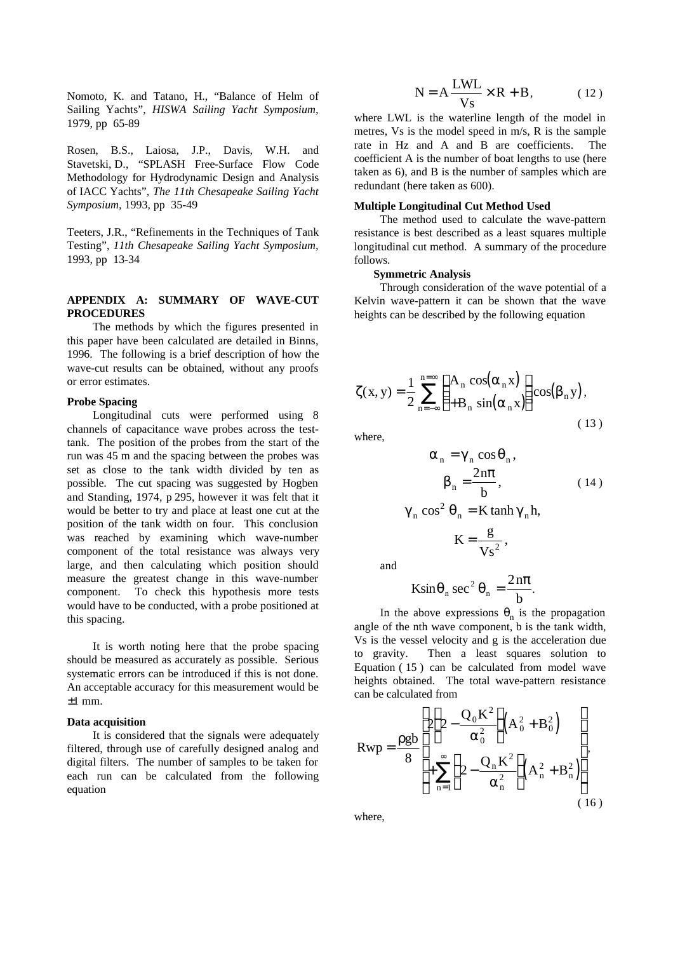Nomoto, K. and Tatano, H., "Balance of Helm of Sailing Yachts", *HISWA Sailing Yacht Symposium,* 1979, pp 65-89

Rosen, B.S., Laiosa, J.P., Davis, W.H. and Stavetski, D., "SPLASH Free-Surface Flow Code Methodology for Hydrodynamic Design and Analysis of IACC Yachts", *The 11th Chesapeake Sailing Yacht Symposium,* 1993, pp 35-49

Teeters, J.R., "Refinements in the Techniques of Tank Testing", *11th Chesapeake Sailing Yacht Symposium,* 1993, pp 13-34

### **APPENDIX A: SUMMARY OF WAVE-CUT PROCEDURES**

The methods by which the figures presented in this paper have been calculated are detailed in Binns, 1996. The following is a brief description of how the wave-cut results can be obtained, without any proofs or error estimates.

#### **Probe Spacing**

Longitudinal cuts were performed using 8 channels of capacitance wave probes across the testtank. The position of the probes from the start of the run was 45 m and the spacing between the probes was set as close to the tank width divided by ten as possible. The cut spacing was suggested by Hogben and Standing, 1974, p 295, however it was felt that it would be better to try and place at least one cut at the position of the tank width on four. This conclusion was reached by examining which wave-number component of the total resistance was always very large, and then calculating which position should measure the greatest change in this wave-number component. To check this hypothesis more tests would have to be conducted, with a probe positioned at this spacing.

It is worth noting here that the probe spacing should be measured as accurately as possible. Serious systematic errors can be introduced if this is not done. An acceptable accuracy for this measurement would be  $±1$  mm.

#### **Data acquisition**

It is considered that the signals were adequately filtered, through use of carefully designed analog and digital filters. The number of samples to be taken for each run can be calculated from the following equation

$$
N = A \frac{LWL}{Vs} \times R + B, \qquad (12)
$$

where LWL is the waterline length of the model in metres, Vs is the model speed in m/s, R is the sample rate in Hz and A and B are coefficients. The coefficient A is the number of boat lengths to use (here taken as 6), and B is the number of samples which are redundant (here taken as 600).

### **Multiple Longitudinal Cut Method Used**

The method used to calculate the wave-pattern resistance is best described as a least squares multiple longitudinal cut method. A summary of the procedure follows.

#### **Symmetric Analysis**

Through consideration of the wave potential of a Kelvin wave-pattern it can be shown that the wave heights can be described by the following equation

$$
\zeta(x, y) = \frac{1}{2} \sum_{n = -\infty}^{n = \infty} \left( \frac{A_n \cos(\alpha_n x)}{B_n \sin(\alpha_n x)} \right) \cos(\beta_n y),
$$
\n(13)

where,

$$
\alpha_n = \gamma_n \cos \theta_n, \n\beta_n = \frac{2n\pi}{b}, \qquad (14)
$$

$$
\gamma_n \cos^2 \theta_n = K \tanh \gamma_n h,
$$
  

$$
K = \frac{g}{Vs^2},
$$

and

$$
K\sin\theta_n \sec^2\theta_n = \frac{2n\pi}{b}.
$$

In the above expressions  $\theta_n$  is the propagation angle of the nth wave component, b is the tank width, Vs is the vessel velocity and g is the acceleration due to gravity. Then a least squares solution to Equation ( 15 ) can be calculated from model wave heights obtained. The total wave-pattern resistance can be calculated from

$$
Rwp = \frac{\rho g b}{8} \left[ 2 \left( 2 - \frac{Q_0 K^2}{\alpha_0^2} \right) \left( A_0^2 + B_0^2 \right) + \sum_{n=1}^{\infty} \left( 2 - \frac{Q_n K^2}{\alpha_n^2} \right) \left( A_n^2 + B_n^2 \right) \right],
$$
\n(16)

where,